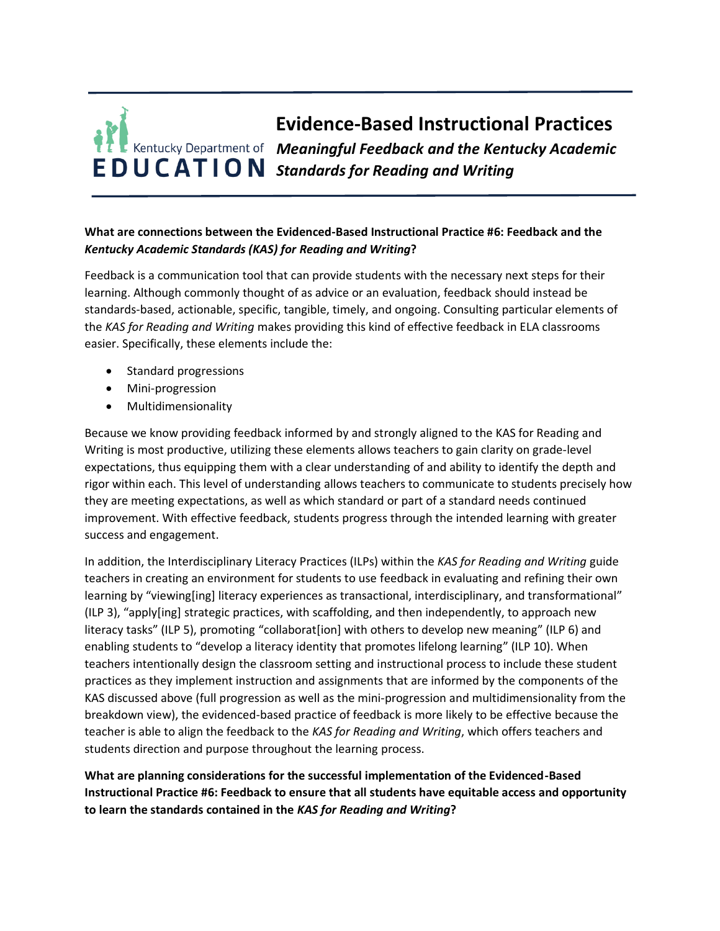## **Evidence-Based Instructional Practices** *Meaningful Feedback and the Kentucky Academic*  **EDUCATION** Standards for Reading and Writing

## **What are connections between the Evidenced-Based Instructional Practice #6: Feedback and the**  *Kentucky Academic Standards (KAS) for Reading and Writing***?**

Feedback is a communication tool that can provide students with the necessary next steps for their learning. Although commonly thought of as advice or an evaluation, feedback should instead be standards-based, actionable, specific, tangible, timely, and ongoing. Consulting particular elements of the *KAS for Reading and Writing* makes providing this kind of effective feedback in ELA classrooms easier. Specifically, these elements include the:

- Standard progressions
- Mini-progression
- Multidimensionality

Because we know providing feedback informed by and strongly aligned to the KAS for Reading and Writing is most productive, utilizing these elements allows teachers to gain clarity on grade-level expectations, thus equipping them with a clear understanding of and ability to identify the depth and rigor within each. This level of understanding allows teachers to communicate to students precisely how they are meeting expectations, as well as which standard or part of a standard needs continued improvement. With effective feedback, students progress through the intended learning with greater success and engagement.

In addition, the Interdisciplinary Literacy Practices (ILPs) within the *KAS for Reading and Writing* guide teachers in creating an environment for students to use feedback in evaluating and refining their own learning by "viewing[ing] literacy experiences as transactional, interdisciplinary, and transformational" (ILP 3), "apply[ing] strategic practices, with scaffolding, and then independently, to approach new literacy tasks" (ILP 5), promoting "collaborat[ion] with others to develop new meaning" (ILP 6) and enabling students to "develop a literacy identity that promotes lifelong learning" (ILP 10). When teachers intentionally design the classroom setting and instructional process to include these student practices as they implement instruction and assignments that are informed by the components of the KAS discussed above (full progression as well as the mini-progression and multidimensionality from the breakdown view), the evidenced-based practice of feedback is more likely to be effective because the teacher is able to align the feedback to the *KAS for Reading and Writing*, which offers teachers and students direction and purpose throughout the learning process.

**What are planning considerations for the successful implementation of the Evidenced-Based Instructional Practice #6: Feedback to ensure that all students have equitable access and opportunity to learn the standards contained in the** *KAS for Reading and Writing***?**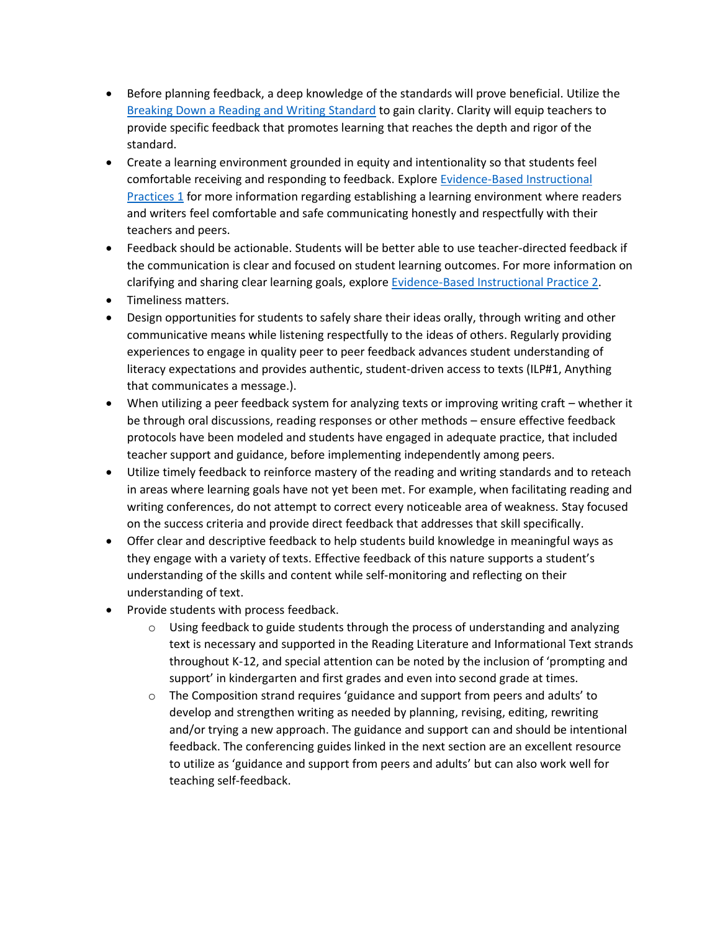- Before planning feedback, a deep knowledge of the standards will prove beneficial. Utilize the [Breaking Down a Reading and Writing Standard](https://education.ky.gov/curriculum/standards/kyacadstand/Documents/Breaking_Down_a_Reading_and_Writing_Standard.pdf) to gain clarity. Clarity will equip teachers to provide specific feedback that promotes learning that reaches the depth and rigor of the standard.
- Create a learning environment grounded in equity and intentionality so that students feel comfortable receiving and responding to feedback. Explor[e Evidence-Based Instructional](https://education.ky.gov/curriculum/standards/kyacadstand/Documents/EBIP_1_Reading_and_Writing.pdf)  [Practices 1](https://education.ky.gov/curriculum/standards/kyacadstand/Documents/EBIP_1_Reading_and_Writing.pdf) for more information regarding establishing a learning environment where readers and writers feel comfortable and safe communicating honestly and respectfully with their teachers and peers.
- Feedback should be actionable. Students will be better able to use teacher-directed feedback if the communication is clear and focused on student learning outcomes. For more information on clarifying and sharing clear learning goals, explore [Evidence-Based Instructional](https://education.ky.gov/curriculum/standards/kyacadstand/Documents/EBIP_2_Reading_and_Writing.pdf) Practice 2.
- Timeliness matters.
- Design opportunities for students to safely share their ideas orally, through writing and other communicative means while listening respectfully to the ideas of others. Regularly providing experiences to engage in quality peer to peer feedback advances student understanding of literacy expectations and provides authentic, student-driven access to texts (ILP#1, Anything that communicates a message.).
- When utilizing a peer feedback system for analyzing texts or improving writing craft whether it be through oral discussions, reading responses or other methods – ensure effective feedback protocols have been modeled and students have engaged in adequate practice, that included teacher support and guidance, before implementing independently among peers.
- Utilize timely feedback to reinforce mastery of the reading and writing standards and to reteach in areas where learning goals have not yet been met. For example, when facilitating reading and writing conferences, do not attempt to correct every noticeable area of weakness. Stay focused on the success criteria and provide direct feedback that addresses that skill specifically.
- Offer clear and descriptive feedback to help students build knowledge in meaningful ways as they engage with a variety of texts. Effective feedback of this nature supports a student's understanding of the skills and content while self-monitoring and reflecting on their understanding of text.
- Provide students with process feedback.
	- $\circ$  Using feedback to guide students through the process of understanding and analyzing text is necessary and supported in the Reading Literature and Informational Text strands throughout K-12, and special attention can be noted by the inclusion of 'prompting and support' in kindergarten and first grades and even into second grade at times.
	- $\circ$  The Composition strand requires 'guidance and support from peers and adults' to develop and strengthen writing as needed by planning, revising, editing, rewriting and/or trying a new approach. The guidance and support can and should be intentional feedback. The conferencing guides linked in the next section are an excellent resource to utilize as 'guidance and support from peers and adults' but can also work well for teaching self-feedback.